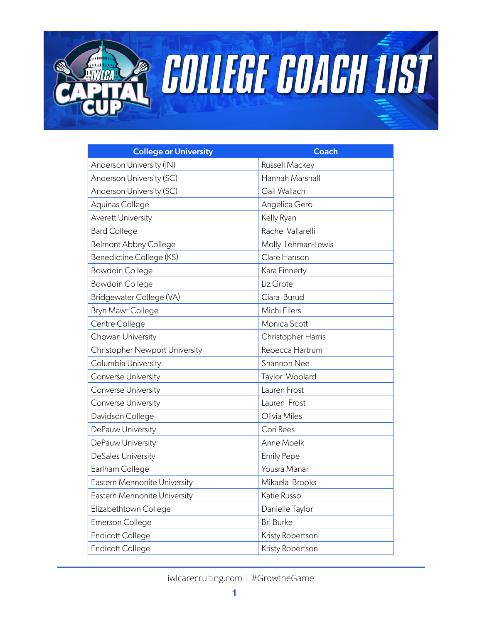

**EDITEE COACH IST** 

| <b>College or University</b>   | <b>Coach</b>       |
|--------------------------------|--------------------|
| Anderson University (IN)       | Russell Mackey     |
| Anderson University (SC)       | Hannah Marshall    |
| Anderson University (SC)       | Gail Wallach       |
| Aquinas College                | Angelica Gero      |
| <b>Averett University</b>      | Kelly Ryan         |
| <b>Bard College</b>            | Rachel Vallarelli  |
| <b>Belmont Abbey College</b>   | Molly Lehman-Lewis |
| Benedictine College (KS)       | Clare Hanson       |
| <b>Bowdoin College</b>         | Kara Finnerty      |
| <b>Bowdoin College</b>         | Liz Grote          |
| Bridgewater College (VA)       | Ciara Burud        |
| <b>Bryn Mawr College</b>       | Michi Ellers       |
| Centre College                 | Monica Scott       |
| Chowan University              | Christopher Harris |
| Christopher Newport University | Rebecca Hartrum    |
| Columbia University            | Shannon Nee        |
| Converse University            | Taylor Woolard     |
| Converse University            | Lauren Frost       |
| Converse University            | Lauren Frost       |
| Davidson College               | Olivia Miles       |
| DePauw University              | Cori Rees          |
| DePauw University              | Anne Moelk         |
| DeSales University             | <b>Emily Pepe</b>  |
| Earlham College                | Yousra Manar       |
| Eastern Mennonite University   | Mikaela Brooks     |
| Eastern Mennonite University   | Katie Russo        |
| Elizabethtown College          | Danielle Taylor    |
| <b>Emerson College</b>         | <b>Bri Burke</b>   |
| <b>Endicott College</b>        | Kristy Robertson   |
| <b>Endicott College</b>        | Kristy Robertson   |

iwlcarecruiting.com | #GrowtheGame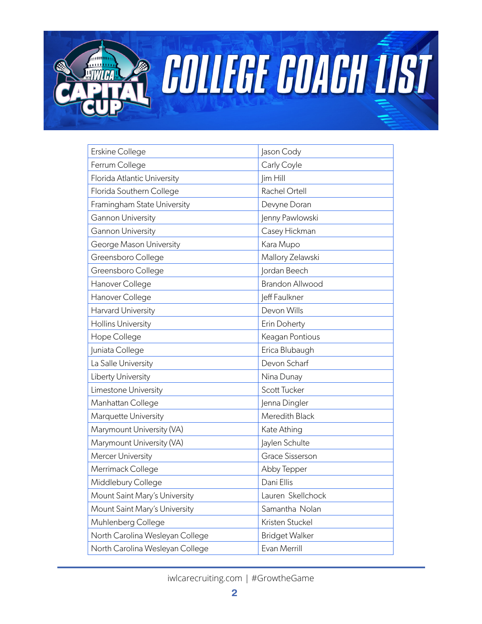

**EOLLEGE COACH IST** 

| Jason Cody             |
|------------------------|
| Carly Coyle            |
| Jim Hill               |
| Rachel Ortell          |
| Devyne Doran           |
| Jenny Pawlowski        |
| Casey Hickman          |
| Kara Mupo              |
| Mallory Zelawski       |
| Jordan Beech           |
| <b>Brandon Allwood</b> |
| leff Faulkner          |
| Devon Wills            |
| Erin Doherty           |
| Keagan Pontious        |
| Erica Blubaugh         |
| Devon Scharf           |
| Nina Dunay             |
| Scott Tucker           |
| Jenna Dingler          |
| Meredith Black         |
| Kate Athing            |
| Jaylen Schulte         |
| <b>Grace Sisserson</b> |
| Abby Tepper            |
| Dani Ellis             |
| Lauren Skellchock      |
| Samantha Nolan         |
| Kristen Stuckel        |
| <b>Bridget Walker</b>  |
| Evan Merrill           |
|                        |

iwlcarecruiting.com | #GrowtheGame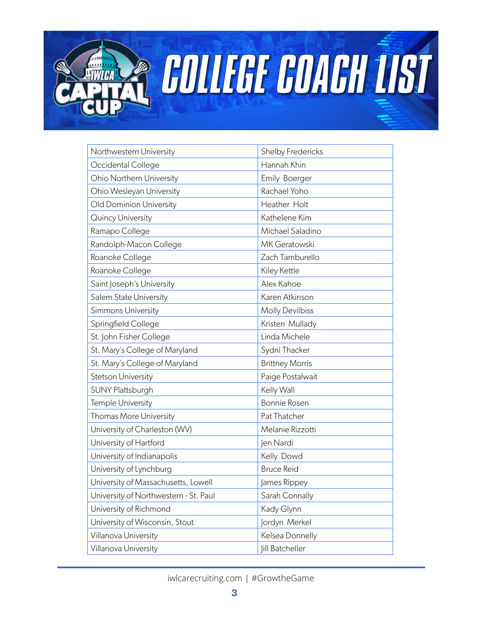

**EOLLEGE COACH IST** 

| Northwestern University               | <b>Shelby Fredericks</b> |
|---------------------------------------|--------------------------|
| Occidental College                    | Hannah Khin              |
| <b>Ohio Northern University</b>       | Emily Boerger            |
| Ohio Wesleyan University              | Rachael Yoho             |
| Old Dominion University               | Heather Holt             |
| Quincy University                     | Kathelene Kim            |
| Ramapo College                        | Michael Saladino         |
| Randolph-Macon College                | MK Geratowski            |
| Roanoke College                       | Zach Tamburello          |
| Roanoke College                       | Kiley Kettle             |
| Saint Joseph's University             | Alex Kahoe               |
| Salem State University                | Karen Atkinson           |
| Simmons University                    | <b>Molly Devilbiss</b>   |
| Springfield College                   | Kristen Mullady          |
| St. John Fisher College               | Linda Michele            |
| St. Mary's College of Maryland        | Sydni Thacker            |
| St. Mary's College of Maryland        | <b>Brittney Morris</b>   |
| Stetson University                    | Paige Postalwait         |
| SUNY Plattsburgh                      | Kelly Wall               |
| Temple University                     | <b>Bonnie Rosen</b>      |
| Thomas More University                | Pat Thatcher             |
| University of Charleston (WV)         | Melanie Rizzotti         |
| University of Hartford                | Jen Nardi                |
| University of Indianapolis            | Kelly Dowd               |
| University of Lynchburg               | <b>Bruce Reid</b>        |
| University of Massachusetts, Lowell   | James Rippey             |
| University of Northwestern - St. Paul | Sarah Connally           |
| University of Richmond                | Kady Glynn               |
| University of Wisconsin, Stout        | Jordyn Merkel            |
| Villanova University                  | Kelsea Donnelly          |
| Villanova University                  | <b>Jill Batcheller</b>   |

iwlcarecruiting.com | #GrowtheGame